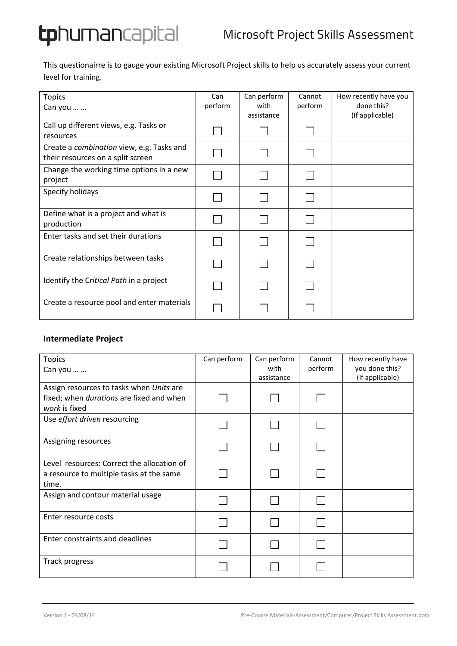**tphuman**capital

This questionairre is to gauge your existing Microsoft Project skills to help us accurately assess your current level for training.

| <b>Topics</b><br>Can you                                                              | Can<br>perform | Can perform<br>with<br>assistance | Cannot<br>perform | How recently have you<br>done this?<br>(If applicable) |
|---------------------------------------------------------------------------------------|----------------|-----------------------------------|-------------------|--------------------------------------------------------|
| Call up different views, e.g. Tasks or<br>resources                                   |                |                                   |                   |                                                        |
| Create a <i>combination</i> view, e.g. Tasks and<br>their resources on a split screen |                |                                   |                   |                                                        |
| Change the working time options in a new<br>project                                   |                |                                   |                   |                                                        |
| Specify holidays                                                                      |                |                                   |                   |                                                        |
| Define what is a project and what is<br>production                                    |                |                                   |                   |                                                        |
| Enter tasks and set their durations                                                   |                |                                   |                   |                                                        |
| Create relationships between tasks                                                    |                |                                   |                   |                                                        |
| Identify the Critical Path in a project                                               |                |                                   |                   |                                                        |
| Create a resource pool and enter materials                                            |                |                                   |                   |                                                        |

## **Intermediate Project**

| <b>Topics</b><br>Can you                                                                              | Can perform | Can perform<br>with<br>assistance | Cannot<br>perform | How recently have<br>you done this?<br>(If applicable) |
|-------------------------------------------------------------------------------------------------------|-------------|-----------------------------------|-------------------|--------------------------------------------------------|
| Assign resources to tasks when Units are<br>fixed; when durations are fixed and when<br>work is fixed |             |                                   |                   |                                                        |
| Use effort driven resourcing                                                                          |             |                                   |                   |                                                        |
| Assigning resources                                                                                   |             |                                   |                   |                                                        |
| Level resources: Correct the allocation of<br>a resource to multiple tasks at the same<br>time.       |             |                                   |                   |                                                        |
| Assign and contour material usage                                                                     |             |                                   |                   |                                                        |
| Enter resource costs                                                                                  |             |                                   |                   |                                                        |
| Enter constraints and deadlines                                                                       |             |                                   |                   |                                                        |
| Track progress                                                                                        |             |                                   |                   |                                                        |